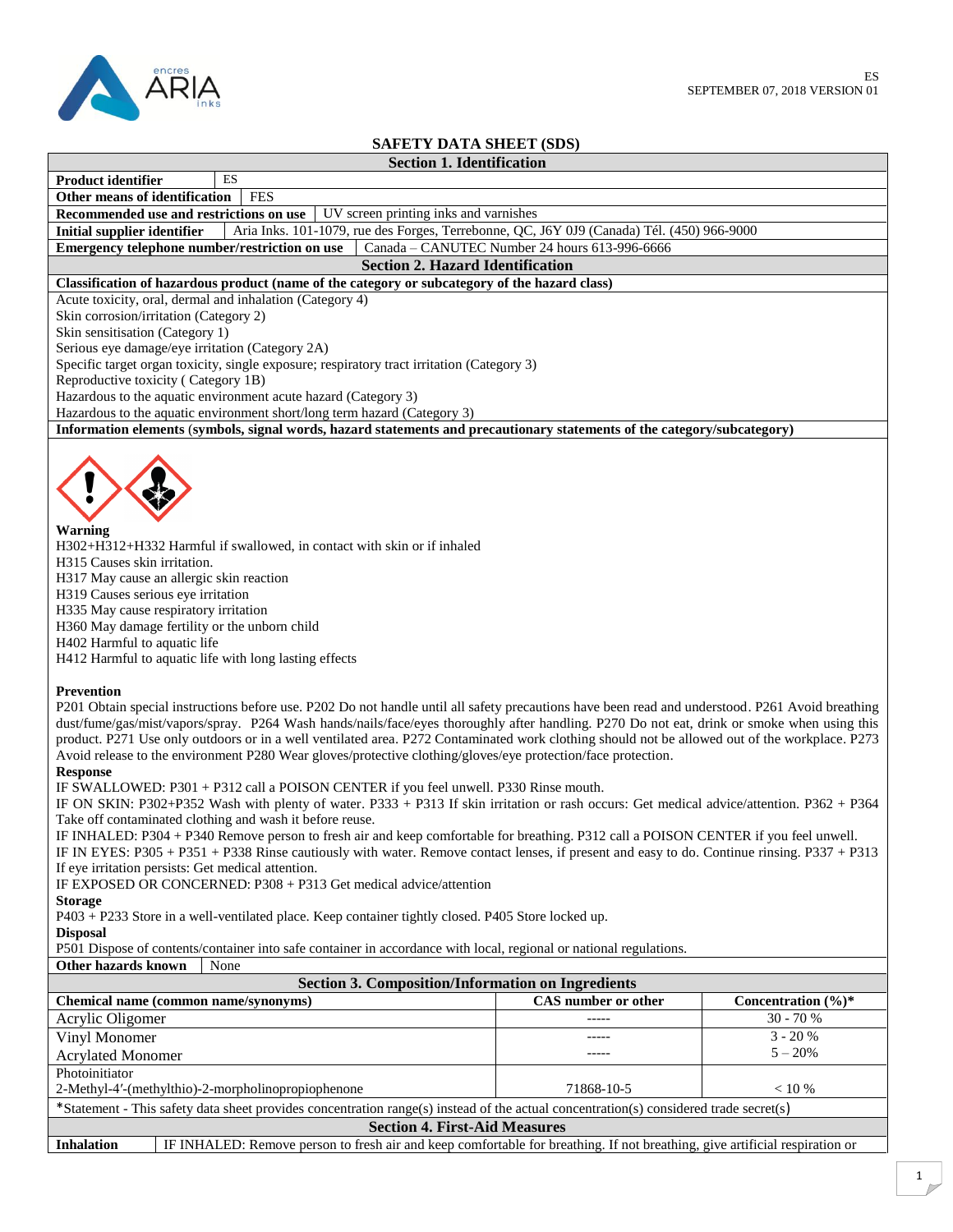

# **SAFETY DATA SHEET (SDS)**

### **Section 1. Identification**

| Other means of identification FES |  |
|-----------------------------------|--|

**Product identifier** ES

**Recommended use and restrictions on use** UV screen printing inks and varnishes

**Initial supplier identifier** Aria Inks. 101-1079, rue des Forges, Terrebonne, QC, J6Y 0J9 (Canada) Tél. (450) 966-9000<br>**Emergency telephone number/restriction on use** Canada – CANUTEC Number 24 hours 613-996-6666 **Emergency telephone number/restriction on use** 

#### **Section 2. Hazard Identification**

## **Classification of hazardous product (name of the category or subcategory of the hazard class)**

Acute toxicity, oral, dermal and inhalation (Category 4)

Skin corrosion/irritation (Category 2)

Skin sensitisation (Category 1)

Serious eye damage/eye irritation (Category 2A)

Specific target organ toxicity, single exposure; respiratory tract irritation (Category 3)

Reproductive toxicity ( Category 1B)

Hazardous to the aquatic environment acute hazard (Category 3)

Hazardous to the aquatic environment short/long term hazard (Category 3)

**Information elements** (**symbols, signal words, hazard statements and precautionary statements of the category/subcategory)**



#### **Warning**

H302+H312+H332 Harmful if swallowed, in contact with skin or if inhaled

H315 Causes skin irritation.

H317 May cause an allergic skin reaction

H319 Causes serious eye irritation

H335 May cause respiratory irritation

H360 May damage fertility or the unborn child

H402 Harmful to aquatic life

H412 Harmful to aquatic life with long lasting effects

#### **Prevention**

P201 Obtain special instructions before use. P202 Do not handle until all safety precautions have been read and understood. P261 Avoid breathing dust/fume/gas/mist/vapors/spray. P264 Wash hands/nails/face/eyes thoroughly after handling. P270 Do not eat, drink or smoke when using this product. P271 Use only outdoors or in a well ventilated area. P272 Contaminated work clothing should not be allowed out of the workplace. P273 Avoid release to the environment P280 Wear gloves/protective clothing/gloves/eye protection/face protection.

**Response**

IF SWALLOWED: P301 + P312 call a POISON CENTER if you feel unwell. P330 Rinse mouth.

IF ON SKIN: P302+P352 Wash with plenty of water. P333 + P313 If skin irritation or rash occurs: Get medical advice/attention. P362 + P364 Take off contaminated clothing and wash it before reuse.

IF INHALED: P304 + P340 Remove person to fresh air and keep comfortable for breathing. P312 call a POISON CENTER if you feel unwell.

IF IN EYES: P305 + P351 + P338 Rinse cautiously with water. Remove contact lenses, if present and easy to do. Continue rinsing. P337 + P313 If eye irritation persists: Get medical attention.

IF EXPOSED OR CONCERNED: P308 + P313 Get medical advice/attention

## **Storage**

P403 + P233 Store in a well-ventilated place. Keep container tightly closed. P405 Store locked up.

**Disposal**

P501 Dispose of contents/container into safe container in accordance with local, regional or national regulations.

#### **Other hazards known** None

| <b>Section 3. Composition/Information on Ingredients</b>                                                                                       |                     |                                 |  |  |  |
|------------------------------------------------------------------------------------------------------------------------------------------------|---------------------|---------------------------------|--|--|--|
| Chemical name (common name/synonyms)                                                                                                           | CAS number or other | Concentration $(\frac{6}{6})^*$ |  |  |  |
| Acrylic Oligomer                                                                                                                               | -----               | $30 - 70%$                      |  |  |  |
| Vinyl Monomer                                                                                                                                  |                     | $3 - 20%$                       |  |  |  |
| <b>Acrylated Monomer</b>                                                                                                                       | -----               | $5 - 20\%$                      |  |  |  |
| Photoinitiator                                                                                                                                 |                     |                                 |  |  |  |
| 2-Methyl-4'-(methylthio)-2-morpholinopropiophenone                                                                                             | 71868-10-5          | $< 10 \%$                       |  |  |  |
| *Statement - This safety data sheet provides concentration range(s) instead of the actual concentration(s) considered trade secret(s)          |                     |                                 |  |  |  |
| <b>Section 4. First-Aid Measures</b>                                                                                                           |                     |                                 |  |  |  |
| IE INILALED: Damaya nagaan ta faalk ay and kaan aamfastabla fan braathina. If not braathina, aiya artifiaial reapiration ar<br>$L = L = L + L$ |                     |                                 |  |  |  |

**Inhalation** IF INHALED: Remove person to fresh air and keep comfortable for breathing. If not breathing, give artificial respiration or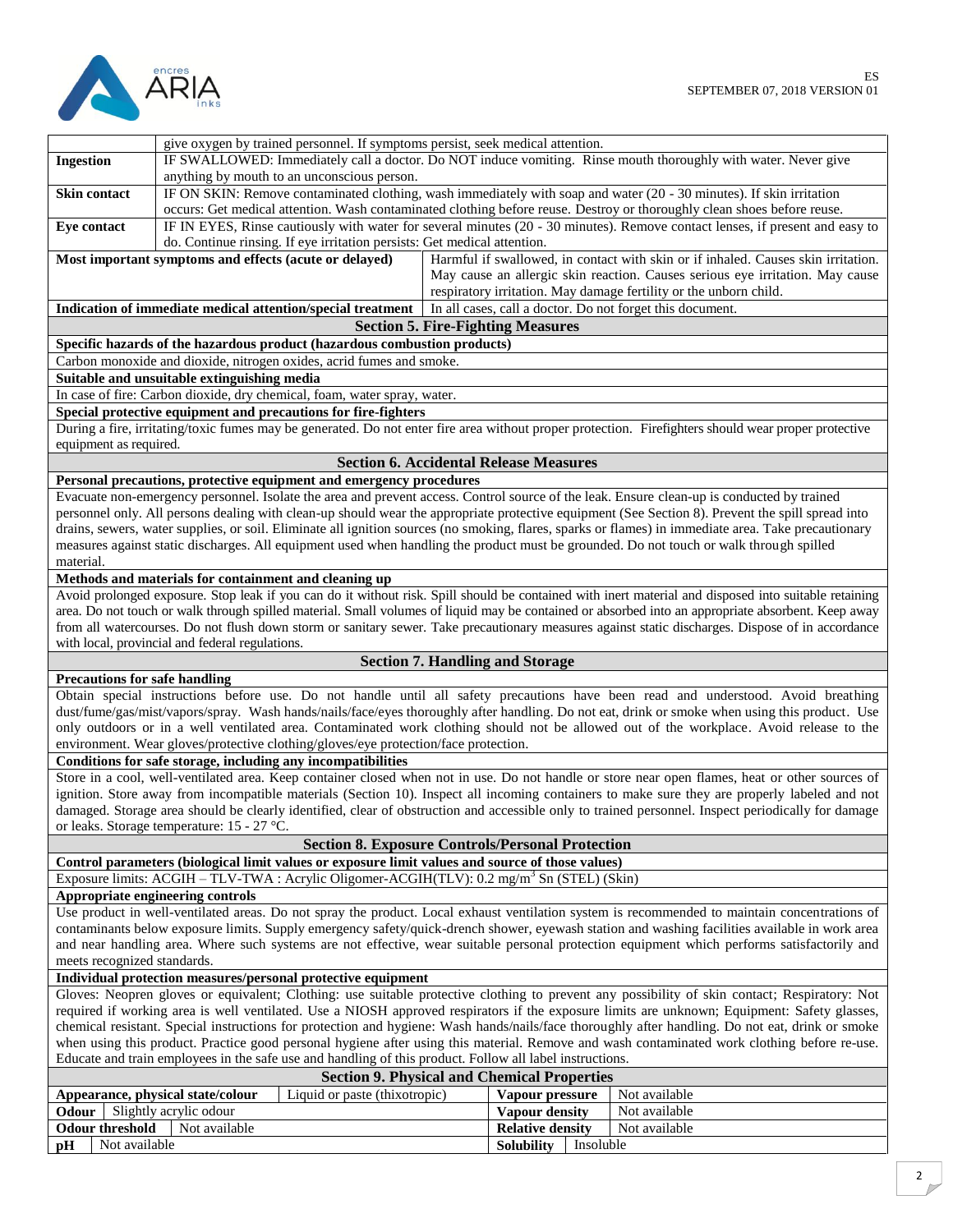

|                                                                                                                                                |                                                                                                                                                                                                                                                 | give oxygen by trained personnel. If symptoms persist, seek medical attention.                           |                                          |                                                                               |           |                                                                                                                                                       |
|------------------------------------------------------------------------------------------------------------------------------------------------|-------------------------------------------------------------------------------------------------------------------------------------------------------------------------------------------------------------------------------------------------|----------------------------------------------------------------------------------------------------------|------------------------------------------|-------------------------------------------------------------------------------|-----------|-------------------------------------------------------------------------------------------------------------------------------------------------------|
| <b>Ingestion</b>                                                                                                                               | IF SWALLOWED: Immediately call a doctor. Do NOT induce vomiting. Rinse mouth thoroughly with water. Never give                                                                                                                                  |                                                                                                          |                                          |                                                                               |           |                                                                                                                                                       |
| anything by mouth to an unconscious person.                                                                                                    |                                                                                                                                                                                                                                                 |                                                                                                          |                                          |                                                                               |           |                                                                                                                                                       |
| Skin contact                                                                                                                                   |                                                                                                                                                                                                                                                 |                                                                                                          |                                          |                                                                               |           |                                                                                                                                                       |
|                                                                                                                                                | IF ON SKIN: Remove contaminated clothing, wash immediately with soap and water (20 - 30 minutes). If skin irritation<br>occurs: Get medical attention. Wash contaminated clothing before reuse. Destroy or thoroughly clean shoes before reuse. |                                                                                                          |                                          |                                                                               |           |                                                                                                                                                       |
| Eye contact                                                                                                                                    |                                                                                                                                                                                                                                                 |                                                                                                          |                                          |                                                                               |           | IF IN EYES, Rinse cautiously with water for several minutes (20 - 30 minutes). Remove contact lenses, if present and easy to                          |
|                                                                                                                                                |                                                                                                                                                                                                                                                 | do. Continue rinsing. If eye irritation persists: Get medical attention.                                 |                                          |                                                                               |           |                                                                                                                                                       |
|                                                                                                                                                | Most important symptoms and effects (acute or delayed)                                                                                                                                                                                          |                                                                                                          |                                          |                                                                               |           | Harmful if swallowed, in contact with skin or if inhaled. Causes skin irritation.                                                                     |
|                                                                                                                                                |                                                                                                                                                                                                                                                 |                                                                                                          |                                          | May cause an allergic skin reaction. Causes serious eye irritation. May cause |           |                                                                                                                                                       |
|                                                                                                                                                |                                                                                                                                                                                                                                                 |                                                                                                          |                                          |                                                                               |           |                                                                                                                                                       |
|                                                                                                                                                |                                                                                                                                                                                                                                                 |                                                                                                          |                                          |                                                                               |           | respiratory irritation. May damage fertility or the unborn child.                                                                                     |
|                                                                                                                                                |                                                                                                                                                                                                                                                 | Indication of immediate medical attention/special treatment                                              |                                          |                                                                               |           | In all cases, call a doctor. Do not forget this document.                                                                                             |
|                                                                                                                                                |                                                                                                                                                                                                                                                 |                                                                                                          | <b>Section 5. Fire-Fighting Measures</b> |                                                                               |           |                                                                                                                                                       |
|                                                                                                                                                |                                                                                                                                                                                                                                                 | Specific hazards of the hazardous product (hazardous combustion products)                                |                                          |                                                                               |           |                                                                                                                                                       |
|                                                                                                                                                |                                                                                                                                                                                                                                                 | Carbon monoxide and dioxide, nitrogen oxides, acrid fumes and smoke.                                     |                                          |                                                                               |           |                                                                                                                                                       |
|                                                                                                                                                | Suitable and unsuitable extinguishing media                                                                                                                                                                                                     |                                                                                                          |                                          |                                                                               |           |                                                                                                                                                       |
|                                                                                                                                                |                                                                                                                                                                                                                                                 | In case of fire: Carbon dioxide, dry chemical, foam, water spray, water.                                 |                                          |                                                                               |           |                                                                                                                                                       |
|                                                                                                                                                |                                                                                                                                                                                                                                                 | Special protective equipment and precautions for fire-fighters                                           |                                          |                                                                               |           |                                                                                                                                                       |
|                                                                                                                                                |                                                                                                                                                                                                                                                 |                                                                                                          |                                          |                                                                               |           | During a fire, irritating/toxic fumes may be generated. Do not enter fire area without proper protection. Firefighters should wear proper protective  |
| equipment as required.                                                                                                                         |                                                                                                                                                                                                                                                 |                                                                                                          |                                          |                                                                               |           |                                                                                                                                                       |
|                                                                                                                                                |                                                                                                                                                                                                                                                 |                                                                                                          |                                          |                                                                               |           |                                                                                                                                                       |
|                                                                                                                                                |                                                                                                                                                                                                                                                 | <b>Section 6. Accidental Release Measures</b>                                                            |                                          |                                                                               |           |                                                                                                                                                       |
|                                                                                                                                                |                                                                                                                                                                                                                                                 | Personal precautions, protective equipment and emergency procedures                                      |                                          |                                                                               |           |                                                                                                                                                       |
|                                                                                                                                                |                                                                                                                                                                                                                                                 |                                                                                                          |                                          |                                                                               |           | Evacuate non-emergency personnel. Isolate the area and prevent access. Control source of the leak. Ensure clean-up is conducted by trained            |
|                                                                                                                                                |                                                                                                                                                                                                                                                 |                                                                                                          |                                          |                                                                               |           | personnel only. All persons dealing with clean-up should wear the appropriate protective equipment (See Section 8). Prevent the spill spread into     |
|                                                                                                                                                |                                                                                                                                                                                                                                                 |                                                                                                          |                                          |                                                                               |           | drains, sewers, water supplies, or soil. Eliminate all ignition sources (no smoking, flares, sparks or flames) in immediate area. Take precautionary  |
|                                                                                                                                                |                                                                                                                                                                                                                                                 |                                                                                                          |                                          |                                                                               |           | measures against static discharges. All equipment used when handling the product must be grounded. Do not touch or walk through spilled               |
| material.                                                                                                                                      |                                                                                                                                                                                                                                                 |                                                                                                          |                                          |                                                                               |           |                                                                                                                                                       |
|                                                                                                                                                | Methods and materials for containment and cleaning up                                                                                                                                                                                           |                                                                                                          |                                          |                                                                               |           |                                                                                                                                                       |
|                                                                                                                                                |                                                                                                                                                                                                                                                 |                                                                                                          |                                          |                                                                               |           | Avoid prolonged exposure. Stop leak if you can do it without risk. Spill should be contained with inert material and disposed into suitable retaining |
|                                                                                                                                                |                                                                                                                                                                                                                                                 |                                                                                                          |                                          |                                                                               |           | area. Do not touch or walk through spilled material. Small volumes of liquid may be contained or absorbed into an appropriate absorbent. Keep away    |
|                                                                                                                                                |                                                                                                                                                                                                                                                 |                                                                                                          |                                          |                                                                               |           | from all watercourses. Do not flush down storm or sanitary sewer. Take precautionary measures against static discharges. Dispose of in accordance     |
|                                                                                                                                                | with local, provincial and federal regulations.                                                                                                                                                                                                 |                                                                                                          |                                          |                                                                               |           |                                                                                                                                                       |
|                                                                                                                                                |                                                                                                                                                                                                                                                 |                                                                                                          | <b>Section 7. Handling and Storage</b>   |                                                                               |           |                                                                                                                                                       |
|                                                                                                                                                |                                                                                                                                                                                                                                                 |                                                                                                          |                                          |                                                                               |           |                                                                                                                                                       |
| <b>Precautions for safe handling</b>                                                                                                           |                                                                                                                                                                                                                                                 |                                                                                                          |                                          |                                                                               |           |                                                                                                                                                       |
|                                                                                                                                                |                                                                                                                                                                                                                                                 |                                                                                                          |                                          |                                                                               |           | Obtain special instructions before use. Do not handle until all safety precautions have been read and understood. Avoid breathing                     |
|                                                                                                                                                |                                                                                                                                                                                                                                                 |                                                                                                          |                                          |                                                                               |           | dust/fume/gas/mist/vapors/spray. Wash hands/nails/face/eyes thoroughly after handling. Do not eat, drink or smoke when using this product. Use        |
|                                                                                                                                                |                                                                                                                                                                                                                                                 |                                                                                                          |                                          |                                                                               |           | only outdoors or in a well ventilated area. Contaminated work clothing should not be allowed out of the workplace. Avoid release to the               |
|                                                                                                                                                |                                                                                                                                                                                                                                                 | environment. Wear gloves/protective clothing/gloves/eye protection/face protection.                      |                                          |                                                                               |           |                                                                                                                                                       |
|                                                                                                                                                |                                                                                                                                                                                                                                                 | Conditions for safe storage, including any incompatibilities                                             |                                          |                                                                               |           |                                                                                                                                                       |
|                                                                                                                                                |                                                                                                                                                                                                                                                 |                                                                                                          |                                          |                                                                               |           | Store in a cool, well-ventilated area. Keep container closed when not in use. Do not handle or store near open flames, heat or other sources of       |
|                                                                                                                                                |                                                                                                                                                                                                                                                 |                                                                                                          |                                          |                                                                               |           | ignition. Store away from incompatible materials (Section 10). Inspect all incoming containers to make sure they are properly labeled and not         |
|                                                                                                                                                |                                                                                                                                                                                                                                                 |                                                                                                          |                                          |                                                                               |           | damaged. Storage area should be clearly identified, clear of obstruction and accessible only to trained personnel. Inspect periodically for damage    |
|                                                                                                                                                | or leaks. Storage temperature: 15 - 27 °C.                                                                                                                                                                                                      |                                                                                                          |                                          |                                                                               |           |                                                                                                                                                       |
|                                                                                                                                                |                                                                                                                                                                                                                                                 | <b>Section 8. Exposure Controls/Personal Protection</b>                                                  |                                          |                                                                               |           |                                                                                                                                                       |
|                                                                                                                                                |                                                                                                                                                                                                                                                 | Control parameters (biological limit values or exposure limit values and source of those values)         |                                          |                                                                               |           |                                                                                                                                                       |
|                                                                                                                                                |                                                                                                                                                                                                                                                 | Exposure limits: ACGIH - TLV-TWA : Acrylic Oligomer-ACGIH(TLV): 0.2 mg/m <sup>3</sup> Sn (STEL) (Skin)   |                                          |                                                                               |           |                                                                                                                                                       |
|                                                                                                                                                |                                                                                                                                                                                                                                                 |                                                                                                          |                                          |                                                                               |           |                                                                                                                                                       |
| Appropriate engineering controls                                                                                                               |                                                                                                                                                                                                                                                 |                                                                                                          |                                          |                                                                               |           |                                                                                                                                                       |
|                                                                                                                                                | Use product in well-ventilated areas. Do not spray the product. Local exhaust ventilation system is recommended to maintain concentrations of                                                                                                   |                                                                                                          |                                          |                                                                               |           |                                                                                                                                                       |
| contaminants below exposure limits. Supply emergency safety/quick-drench shower, eyewash station and washing facilities available in work area |                                                                                                                                                                                                                                                 |                                                                                                          |                                          |                                                                               |           |                                                                                                                                                       |
|                                                                                                                                                | and near handling area. Where such systems are not effective, wear suitable personal protection equipment which performs satisfactorily and                                                                                                     |                                                                                                          |                                          |                                                                               |           |                                                                                                                                                       |
| meets recognized standards.                                                                                                                    |                                                                                                                                                                                                                                                 |                                                                                                          |                                          |                                                                               |           |                                                                                                                                                       |
| Individual protection measures/personal protective equipment                                                                                   |                                                                                                                                                                                                                                                 |                                                                                                          |                                          |                                                                               |           |                                                                                                                                                       |
| Gloves: Neopren gloves or equivalent; Clothing: use suitable protective clothing to prevent any possibility of skin contact; Respiratory: Not  |                                                                                                                                                                                                                                                 |                                                                                                          |                                          |                                                                               |           |                                                                                                                                                       |
|                                                                                                                                                |                                                                                                                                                                                                                                                 |                                                                                                          |                                          |                                                                               |           | required if working area is well ventilated. Use a NIOSH approved respirators if the exposure limits are unknown; Equipment: Safety glasses,          |
|                                                                                                                                                |                                                                                                                                                                                                                                                 |                                                                                                          |                                          |                                                                               |           | chemical resistant. Special instructions for protection and hygiene: Wash hands/nails/face thoroughly after handling. Do not eat, drink or smoke      |
|                                                                                                                                                |                                                                                                                                                                                                                                                 |                                                                                                          |                                          |                                                                               |           | when using this product. Practice good personal hygiene after using this material. Remove and wash contaminated work clothing before re-use.          |
|                                                                                                                                                |                                                                                                                                                                                                                                                 | Educate and train employees in the safe use and handling of this product. Follow all label instructions. |                                          |                                                                               |           |                                                                                                                                                       |
|                                                                                                                                                |                                                                                                                                                                                                                                                 | <b>Section 9. Physical and Chemical Properties</b>                                                       |                                          |                                                                               |           |                                                                                                                                                       |
|                                                                                                                                                |                                                                                                                                                                                                                                                 | Liquid or paste (thixotropic)                                                                            |                                          | Vapour pressure                                                               |           | Not available                                                                                                                                         |
|                                                                                                                                                | Appearance, physical state/colour                                                                                                                                                                                                               |                                                                                                          |                                          |                                                                               |           | Not available                                                                                                                                         |
| Odour                                                                                                                                          | Slightly acrylic odour                                                                                                                                                                                                                          |                                                                                                          |                                          | Vapour density                                                                |           |                                                                                                                                                       |
| <b>Odour threshold</b>                                                                                                                         | Not available                                                                                                                                                                                                                                   |                                                                                                          |                                          | <b>Relative density</b>                                                       |           | Not available                                                                                                                                         |
| Not available<br>рH                                                                                                                            |                                                                                                                                                                                                                                                 |                                                                                                          |                                          | <b>Solubility</b>                                                             | Insoluble |                                                                                                                                                       |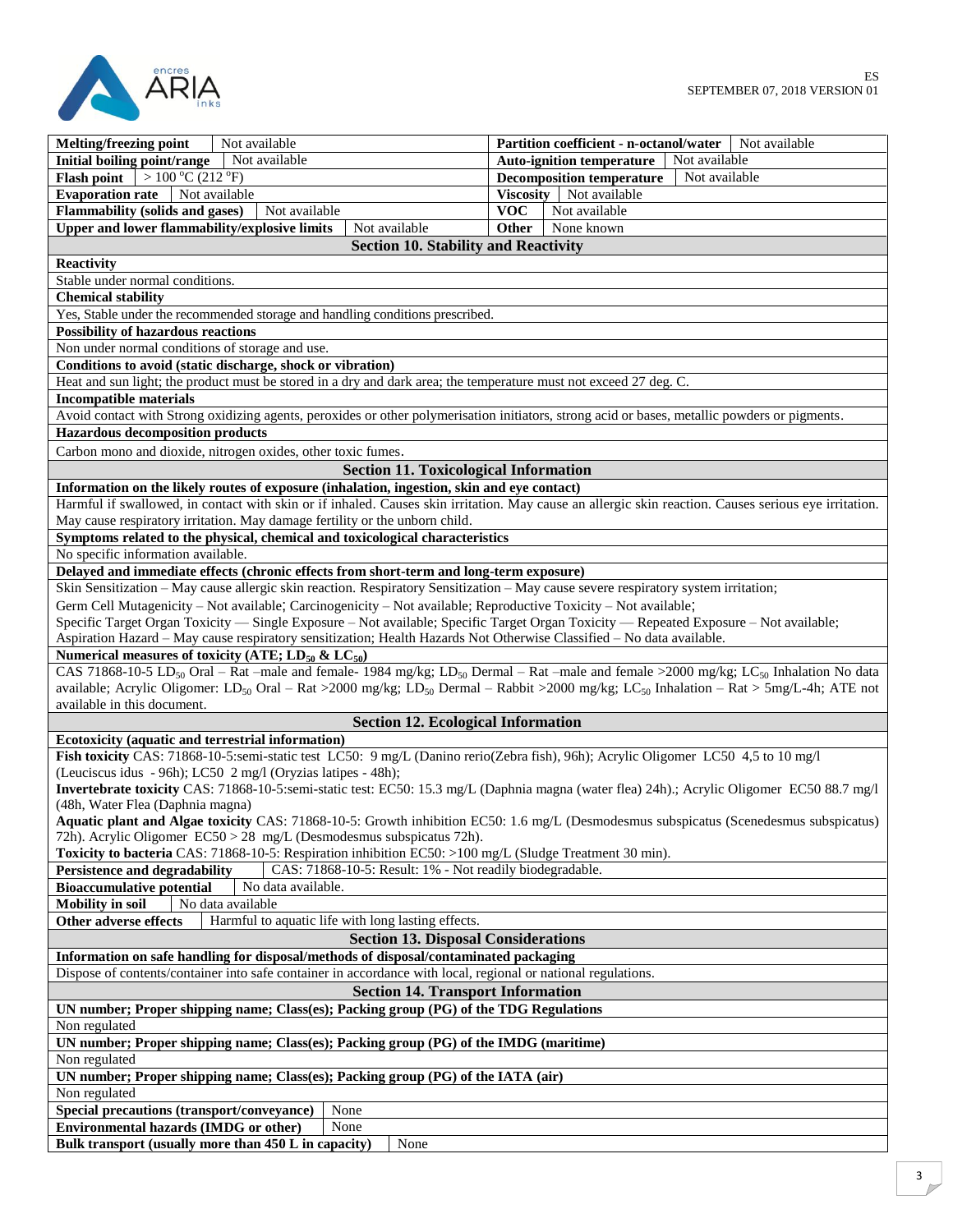

| Melting/freezing point<br>Not available                                                                                                                                                                                              | Partition coefficient - n-octanol/water<br>Not available |  |  |  |
|--------------------------------------------------------------------------------------------------------------------------------------------------------------------------------------------------------------------------------------|----------------------------------------------------------|--|--|--|
| Not available<br>Initial boiling point/range                                                                                                                                                                                         | <b>Auto-ignition temperature</b><br>Not available        |  |  |  |
| $>100\degree C(212\degree F)$<br><b>Flash point</b>                                                                                                                                                                                  | Not available<br><b>Decomposition temperature</b>        |  |  |  |
| <b>Evaporation rate</b><br>Not available                                                                                                                                                                                             | Viscosity Not available                                  |  |  |  |
| <b>Flammability (solids and gases)</b><br>Not available                                                                                                                                                                              | <b>VOC</b><br>Not available                              |  |  |  |
| <b>Upper and lower flammability/explosive limits</b><br>Not available                                                                                                                                                                | Other<br>None known                                      |  |  |  |
|                                                                                                                                                                                                                                      |                                                          |  |  |  |
| <b>Section 10. Stability and Reactivity</b>                                                                                                                                                                                          |                                                          |  |  |  |
| Reactivity                                                                                                                                                                                                                           |                                                          |  |  |  |
| Stable under normal conditions.                                                                                                                                                                                                      |                                                          |  |  |  |
| <b>Chemical stability</b>                                                                                                                                                                                                            |                                                          |  |  |  |
| Yes, Stable under the recommended storage and handling conditions prescribed.                                                                                                                                                        |                                                          |  |  |  |
| <b>Possibility of hazardous reactions</b>                                                                                                                                                                                            |                                                          |  |  |  |
| Non under normal conditions of storage and use.                                                                                                                                                                                      |                                                          |  |  |  |
| Conditions to avoid (static discharge, shock or vibration)                                                                                                                                                                           |                                                          |  |  |  |
| Heat and sun light; the product must be stored in a dry and dark area; the temperature must not exceed 27 deg. C.                                                                                                                    |                                                          |  |  |  |
| <b>Incompatible materials</b>                                                                                                                                                                                                        |                                                          |  |  |  |
| Avoid contact with Strong oxidizing agents, peroxides or other polymerisation initiators, strong acid or bases, metallic powders or pigments.                                                                                        |                                                          |  |  |  |
| <b>Hazardous decomposition products</b>                                                                                                                                                                                              |                                                          |  |  |  |
| Carbon mono and dioxide, nitrogen oxides, other toxic fumes.                                                                                                                                                                         |                                                          |  |  |  |
| <b>Section 11. Toxicological Information</b>                                                                                                                                                                                         |                                                          |  |  |  |
| Information on the likely routes of exposure (inhalation, ingestion, skin and eye contact)                                                                                                                                           |                                                          |  |  |  |
| Harmful if swallowed, in contact with skin or if inhaled. Causes skin irritation. May cause an allergic skin reaction. Causes serious eye irritation.<br>May cause respiratory irritation. May damage fertility or the unborn child. |                                                          |  |  |  |
| Symptoms related to the physical, chemical and toxicological characteristics                                                                                                                                                         |                                                          |  |  |  |
| No specific information available.                                                                                                                                                                                                   |                                                          |  |  |  |
| Delayed and immediate effects (chronic effects from short-term and long-term exposure)                                                                                                                                               |                                                          |  |  |  |
| Skin Sensitization - May cause allergic skin reaction. Respiratory Sensitization - May cause severe respiratory system irritation;                                                                                                   |                                                          |  |  |  |
| Germ Cell Mutagenicity - Not available; Carcinogenicity - Not available; Reproductive Toxicity - Not available;                                                                                                                      |                                                          |  |  |  |
| Specific Target Organ Toxicity — Single Exposure - Not available; Specific Target Organ Toxicity — Repeated Exposure - Not available;                                                                                                |                                                          |  |  |  |
| Aspiration Hazard - May cause respiratory sensitization; Health Hazards Not Otherwise Classified - No data available.                                                                                                                |                                                          |  |  |  |
| Numerical measures of toxicity (ATE; $LD_{50}$ & $LC_{50}$ )                                                                                                                                                                         |                                                          |  |  |  |
| CAS 71868-10-5 LD <sub>50</sub> Oral – Rat –male and female- 1984 mg/kg; LD <sub>50</sub> Dermal – Rat –male and female >2000 mg/kg; LC <sub>50</sub> Inhalation No data                                                             |                                                          |  |  |  |
| available; Acrylic Oligomer: LD <sub>50</sub> Oral – Rat >2000 mg/kg; LD <sub>50</sub> Dermal – Rabbit >2000 mg/kg; LC <sub>50</sub> Inhalation – Rat > 5mg/L-4h; ATE not                                                            |                                                          |  |  |  |
| available in this document.                                                                                                                                                                                                          |                                                          |  |  |  |
| <b>Section 12. Ecological Information</b>                                                                                                                                                                                            |                                                          |  |  |  |
| Ecotoxicity (aquatic and terrestrial information)                                                                                                                                                                                    |                                                          |  |  |  |
| Fish toxicity CAS: 71868-10-5:semi-static test LC50: 9 mg/L (Danino rerio(Zebra fish), 96h); Acrylic Oligomer LC50 4,5 to 10 mg/l                                                                                                    |                                                          |  |  |  |
| (Leuciscus idus - 96h); LC50 2 mg/l (Oryzias latipes - 48h);                                                                                                                                                                         |                                                          |  |  |  |
| Invertebrate toxicity CAS: 71868-10-5:semi-static test: EC50: 15.3 mg/L (Daphnia magna (water flea) 24h).; Acrylic Oligomer EC50 88.7 mg/l                                                                                           |                                                          |  |  |  |
| (48h, Water Flea (Daphnia magna)                                                                                                                                                                                                     |                                                          |  |  |  |
| Aquatic plant and Algae toxicity CAS: 71868-10-5: Growth inhibition EC50: 1.6 mg/L (Desmodesmus subspicatus (Scenedesmus subspicatus)                                                                                                |                                                          |  |  |  |
| 72h). Acrylic Oligomer EC50 > 28 mg/L (Desmodesmus subspicatus 72h).                                                                                                                                                                 |                                                          |  |  |  |
| Toxicity to bacteria CAS: 71868-10-5: Respiration inhibition EC50: >100 mg/L (Sludge Treatment 30 min).                                                                                                                              |                                                          |  |  |  |
| <b>Persistence and degradability</b><br>CAS: 71868-10-5: Result: 1% - Not readily biodegradable.                                                                                                                                     |                                                          |  |  |  |
| <b>Bioaccumulative potential</b><br>No data available.                                                                                                                                                                               |                                                          |  |  |  |
| No data available                                                                                                                                                                                                                    |                                                          |  |  |  |
| <b>Mobility</b> in soil                                                                                                                                                                                                              |                                                          |  |  |  |
| Harmful to aquatic life with long lasting effects.<br>Other adverse effects                                                                                                                                                          |                                                          |  |  |  |
| <b>Section 13. Disposal Considerations</b>                                                                                                                                                                                           |                                                          |  |  |  |
| Information on safe handling for disposal/methods of disposal/contaminated packaging                                                                                                                                                 |                                                          |  |  |  |
| Dispose of contents/container into safe container in accordance with local, regional or national regulations.                                                                                                                        |                                                          |  |  |  |
| <b>Section 14. Transport Information</b>                                                                                                                                                                                             |                                                          |  |  |  |
| UN number; Proper shipping name; Class(es); Packing group (PG) of the TDG Regulations                                                                                                                                                |                                                          |  |  |  |
| Non regulated                                                                                                                                                                                                                        |                                                          |  |  |  |
| UN number; Proper shipping name; Class(es); Packing group (PG) of the IMDG (maritime)                                                                                                                                                |                                                          |  |  |  |
| Non regulated                                                                                                                                                                                                                        |                                                          |  |  |  |
| UN number; Proper shipping name; Class(es); Packing group (PG) of the IATA (air)                                                                                                                                                     |                                                          |  |  |  |
| Non regulated                                                                                                                                                                                                                        |                                                          |  |  |  |
| Special precautions (transport/conveyance)<br>None                                                                                                                                                                                   |                                                          |  |  |  |
| <b>Environmental hazards (IMDG or other)</b><br>None                                                                                                                                                                                 |                                                          |  |  |  |
| Bulk transport (usually more than 450 L in capacity)<br>None                                                                                                                                                                         |                                                          |  |  |  |